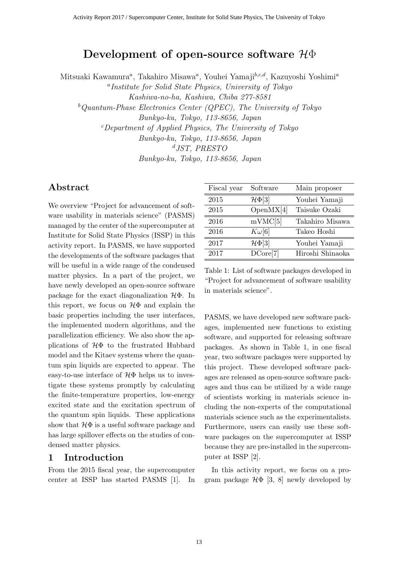# **Development of open-source software** *H*Φ

Mitsuaki Kawamura*<sup>a</sup>* , Takahiro Misawa*<sup>a</sup>* , Youhei Yamaji*b,c,d*, Kazuyoshi Yoshimi*<sup>a</sup>*

*a Institute for Solid State Physics, University of Tokyo Kashiwa-no-ha, Kashiwa, Chiba 277-8581 <sup>b</sup>Quantum-Phase Electronics Center (QPEC), The University of Tokyo Bunkyo-ku, Tokyo, 113-8656, Japan <sup>c</sup>Department of Applied Physics, The University of Tokyo Bunkyo-ku, Tokyo, 113-8656, Japan <sup>d</sup>JST, PRESTO*

*Bunkyo-ku, Tokyo, 113-8656, Japan*

# **Abstract**

We overview "Project for advancement of software usability in materials science" (PASMS) managed by the center of the supercomputer at Institute for Solid State Physics (ISSP) in this activity report. In PASMS, we have supported the developments of the software packages that will be useful in a wide range of the condensed matter physics. In a part of the project, we have newly developed an open-source software package for the exact diagonalization *H*Φ. In this report, we focus on *H*Φ and explain the basic properties including the user interfaces, the implemented modern algorithms, and the parallelization efficiency. We also show the applications of *H*Φ to the frustrated Hubbard model and the Kitaev systems where the quantum spin liquids are expected to appear. The easy-to-use interface of *H*Φ helps us to investigate these systems promptly by calculating the finite-temperature properties, low-energy excited state and the excitation spectrum of the quantum spin liquids. These applications show that  $H\Phi$  is a useful software package and has large spillover effects on the studies of condensed matter physics.

# **1 Introduction**

From the 2015 fiscal year, the supercomputer center at ISSP has started PASMS [1]. In

| Fiscal year | Software             | Main proposer    |
|-------------|----------------------|------------------|
| 2015        | $\mathcal{H}\Phi[3]$ | Youhei Yamaji    |
| 2015        | OpenMX[4]            | Taisuke Ozaki    |
| 2016        | mVMC[5]              | Takahiro Misawa  |
| 2016        | $K\omega[6]$         | Takeo Hoshi      |
| 2017        | $\mathcal{H}\Phi[3]$ | Youhei Yamaji    |
| 2017        | DCore[7]             | Hiroshi Shinaoka |

Table 1: List of software packages developed in "Project for advancement of software usability in materials science".

PASMS, we have developed new software packages, implemented new functions to existing software, and supported for releasing software packages. As shown in Table 1, in one fiscal year, two software packages were supported by this project. These developed software packages are released as open-source software packages and thus can be utilized by a wide range of scientists working in materials science including the non-experts of the computational materials science such as the experimentalists. Furthermore, users can easily use these software packages on the supercomputer at ISSP because they are pre-installed in the supercomputer at ISSP [2].

In this activity report, we focus on a program package  $H\Phi$  [3, 8] newly developed by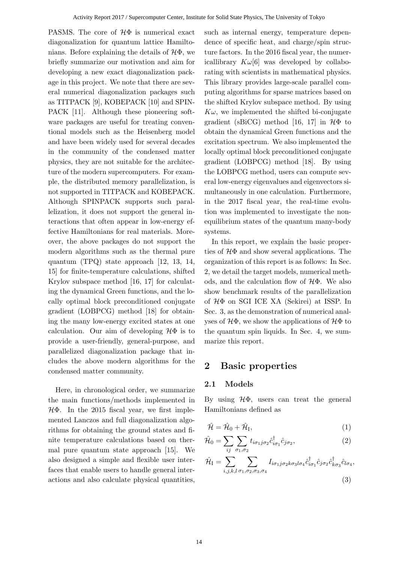PASMS. The core of *H*Φ is numerical exact diagonalization for quantum lattice Hamiltonians. Before explaining the details of *H*Φ, we briefly summarize our motivation and aim for developing a new exact diagonalization package in this project. We note that there are several numerical diagonalization packages such as TITPACK [9], KOBEPACK [10] and SPIN-PACK [11]. Although these pioneering software packages are useful for treating conventional models such as the Heisenberg model and have been widely used for several decades in the community of the condensed matter physics, they are not suitable for the architecture of the modern supercomputers. For example, the distributed memory parallelization, is not supported in TITPACK and KOBEPACK. Although SPINPACK supports such parallelization, it does not support the general interactions that often appear in low-energy effective Hamiltonians for real materials. Moreover, the above packages do not support the modern algorithms such as the thermal pure quantum (TPQ) state approach [12, 13, 14, 15] for finite-temperature calculations, shifted Krylov subspace method [16, 17] for calculating the dynamical Green functions, and the locally optimal block preconditioned conjugate gradient (LOBPCG) method [18] for obtaining the many low-energy excited states at one calculation. Our aim of developing *H*Φ is to provide a user-friendly, general-purpose, and parallelized diagonalization package that includes the above modern algorithms for the condensed matter community.

Here, in chronological order, we summarize the main functions/methods implemented in *H*Φ. In the 2015 fiscal year, we first implemented Lanczos and full diagonalization algorithms for obtaining the ground states and finite temperature calculations based on thermal pure quantum state approach [15]. We also designed a simple and flexible user interfaces that enable users to handle general interactions and also calculate physical quantities,

such as internal energy, temperature dependence of specific heat, and charge/spin structure factors. In the 2016 fiscal year, the numericallibrary  $K\omega[6]$  was developed by collaborating with scientists in mathematical physics. This library provides large-scale parallel computing algorithms for sparse matrices based on the shifted Krylov subspace method. By using  $K\omega$ , we implemented the shifted bi-conjugate gradient (sBiCG) method [16, 17] in *H*Φ to obtain the dynamical Green functions and the excitation spectrum. We also implemented the locally optimal block preconditioned conjugate gradient (LOBPCG) method [18]. By using the LOBPCG method, users can compute several low-energy eigenvalues and eigenvectors simultaneously in one calculation. Furthermore, in the 2017 fiscal year, the real-time evolution was implemented to investigate the nonequilibrium states of the quantum many-body systems.

In this report, we explain the basic properties of *H*Φ and show several applications. The organization of this report is as follows: In Sec. 2, we detail the target models, numerical methods, and the calculation flow of *H*Φ. We also show benchmark results of the parallelization of *H*Φ on SGI ICE XA (Sekirei) at ISSP. In Sec. 3, as the demonstration of numerical analyses of *H*Φ, we show the applications of *H*Φ to the quantum spin liquids. In Sec. 4, we summarize this report.

### **2 Basic properties**

#### **2.1 Models**

By using *H*Φ, users can treat the general Hamiltonians defined as

$$
\hat{\mathcal{H}} = \hat{\mathcal{H}}_0 + \hat{\mathcal{H}}_I,\tag{1}
$$

$$
\hat{\mathcal{H}}_0 = \sum_{ij} \sum_{\sigma_1, \sigma_2} t_{i\sigma_1 j\sigma_2} \hat{c}^{\dagger}_{i\sigma_1} \hat{c}_{j\sigma_2}, \tag{2}
$$

$$
\hat{\mathcal{H}}_{\rm I} = \sum_{i,j,k,l} \sum_{\sigma_1,\sigma_2,\sigma_3,\sigma_4} I_{i\sigma_1 j\sigma_2 k\sigma_3 l\sigma_4} \hat{c}^{\dagger}_{i\sigma_1} \hat{c}_{j\sigma_2} \hat{c}^{\dagger}_{k\sigma_3} \hat{c}_{l\sigma_4},
$$
\n(3)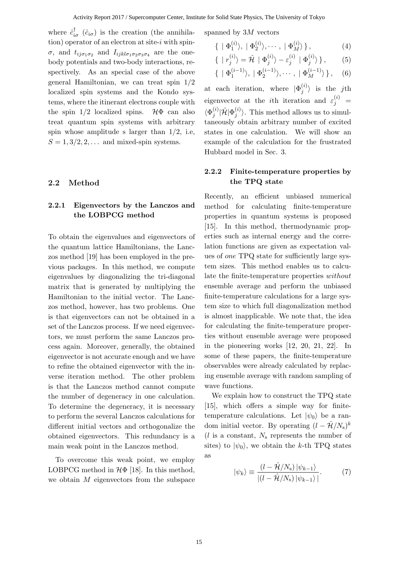where  $\hat{c}^{\dagger}_{i\sigma}$  ( $\hat{c}_{i\sigma}$ ) is the creation (the annihilation) operator of an electron at site-*i* with spin*σ*, and  $t_{ij\sigma_1\sigma_2}$  and  $I_{ijkl\sigma_1\sigma_2\sigma_3\sigma_4}$  are the onebody potentials and two-body interactions, respectively. As an special case of the above general Hamiltonian, we can treat spin 1/2 localized spin systems and the Kondo systems, where the itinerant electrons couple with the spin  $1/2$  localized spins.  $\mathcal{H}\Phi$  can also treat quantum spin systems with arbitrary spin whose amplitude s larger than  $1/2$ , i.e.  $S = 1, 3/2, 2, \ldots$  and mixed-spin systems.

#### **2.2 Method**

# **2.2.1 Eigenvectors by the Lanczos and the LOBPCG method**

To obtain the eigenvalues and eigenvectors of the quantum lattice Hamiltonians, the Lanczos method [19] has been employed in the previous packages. In this method, we compute eigenvalues by diagonalizing the tri-diagonal matrix that is generated by multiplying the Hamiltonian to the initial vector. The Lanczos method, however, has two problems. One is that eigenvectors can not be obtained in a set of the Lanczos process. If we need eigenvectors, we must perform the same Lanczos process again. Moreover, generally, the obtained eigenvector is not accurate enough and we have to refine the obtained eigenvector with the inverse iteration method. The other problem is that the Lanczos method cannot compute the number of degeneracy in one calculation. To determine the degeneracy, it is necessary to perform the several Lanczos calculations for different initial vectors and orthogonalize the obtained eigenvectors. This redundancy is a main weak point in the Lanczos method.

To overcome this weak point, we employ LOBPCG method in *H*Φ [18]. In this method, we obtain *M* eigenvectors from the subspace spanned by 3*M* vectors

$$
\{ \mid \Phi_1^{(i)} \rangle, \mid \Phi_2^{(i)} \rangle, \cdots, \mid \Phi_M^{(i)} \rangle \}, \tag{4}
$$

$$
\{ | r_j^{(i)} \rangle = \hat{\mathcal{H}} | \Phi_j^{(i)} \rangle - \varepsilon_j^{(i)} | \Phi_j^{(i)} \rangle \}, \qquad (5)
$$

$$
\{ \mid \Phi_1^{(i-1)} \rangle, \mid \Phi_2^{(i-1)} \rangle, \cdots, \mid \Phi_M^{(i-1)} \rangle \}, \quad (6)
$$

at each iteration, where  $|\Phi_i^{(i)}\rangle$  $\langle i \rangle$  is the *j*th eigenvector at the *i*th iteration and  $\varepsilon_j^{(i)}$  =  $\langle \Phi_i^{(i)}\rangle$  $\hat{g}^{(i)}_j | \hat{\mathcal{H}} | \Phi_j^{(i)}$  $\langle i' \rangle$ . This method allows us to simultaneously obtain arbitrary number of excited states in one calculation. We will show an example of the calculation for the frustrated Hubbard model in Sec. 3.

#### **2.2.2 Finite-temperature properties by the TPQ state**

Recently, an efficient unbiased numerical method for calculating finite-temperature properties in quantum systems is proposed [15]. In this method, thermodynamic properties such as internal energy and the correlation functions are given as expectation values of *one* TPQ state for sufficiently large system sizes. This method enables us to calculate the finite-temperature properties *without* ensemble average and perform the unbiased finite-temperature calculations for a large system size to which full diagonalization method is almost inapplicable. We note that, the idea for calculating the finite-temperature properties without ensemble average were proposed in the pioneering works [12, 20, 21, 22]. In some of these papers, the finite-temperature observables were already calculated by replacing ensemble average with random sampling of wave functions.

We explain how to construct the TPQ state [15], which offers a simple way for finitetemperature calculations. Let  $|\psi_0\rangle$  be a random initial vector. By operating  $(l - \hat{\mathcal{H}}/N_s)^k$ (*l* is a constant, *N*<sup>s</sup> represents the number of sites) to  $|\psi_0\rangle$ , we obtain the *k*-th TPQ states as

$$
|\psi_k\rangle \equiv \frac{(l - \hat{\mathcal{H}}/N_{\rm s}) |\psi_{k-1}\rangle}{|(l - \hat{\mathcal{H}}/N_{\rm s}) |\psi_{k-1}\rangle|}.
$$
 (7)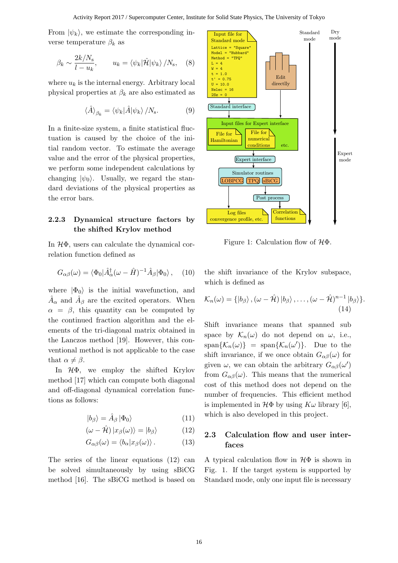From  $|\psi_k\rangle$ , we estimate the corresponding inverse temperature  $\beta_k$  as

$$
\beta_k \sim \frac{2k/N_s}{l - u_k}, \qquad u_k = \langle \psi_k | \hat{\mathcal{H}} | \psi_k \rangle / N_s, \quad (8)
$$

where  $u_k$  is the internal energy. Arbitrary local physical properties at  $\beta_k$  are also estimated as

$$
\langle \hat{A} \rangle_{\beta_k} = \langle \psi_k | \hat{A} | \psi_k \rangle / N_{\rm s}.
$$
 (9)

In a finite-size system, a finite statistical fluctuation is caused by the choice of the initial random vector. To estimate the average value and the error of the physical properties, we perform some independent calculations by changing  $|\psi_0\rangle$ . Usually, we regard the standard deviations of the physical properties as the error bars.

#### **2.2.3 Dynamical structure factors by the shifted Krylov method**

In *H*Φ, users can calculate the dynamical correlation function defined as

$$
G_{\alpha\beta}(\omega) = \langle \Phi_0 | \hat{A}_{\alpha}^{\dagger} (\omega - \hat{H})^{-1} \hat{A}_{\beta} | \Phi_0 \rangle \,, \quad (10)
$$

where  $|\Phi_0\rangle$  is the initial wavefunction, and  $\hat{A}_{\alpha}$  and  $\hat{A}_{\beta}$  are the excited operators. When  $\alpha = \beta$ , this quantity can be computed by the continued fraction algorithm and the elements of the tri-diagonal matrix obtained in the Lanczos method [19]. However, this conventional method is not applicable to the case that  $\alpha \neq \beta$ .

In *H*Φ, we employ the shifted Krylov method [17] which can compute both diagonal and off-diagonal dynamical correlation functions as follows:

$$
|b_{\beta}\rangle = \hat{A}_{\beta} |\Phi_0\rangle \tag{11}
$$

$$
(\omega - \hat{\mathcal{H}}) |x_{\beta}(\omega)\rangle = |b_{\beta}\rangle \tag{12}
$$

$$
G_{\alpha\beta}(\omega) = \langle b_{\alpha} | x_{\beta}(\omega) \rangle. \tag{13}
$$

The series of the linear equations (12) can be solved simultaneously by using sBiCG method [16]. The sBiCG method is based on



Figure 1: Calculation flow of *H*Φ.

the shift invariance of the Krylov subspace, which is defined as

$$
\mathcal{K}_n(\omega) = \{ \ket{b_\beta}, (\omega - \hat{\mathcal{H}}) \ket{b_\beta}, \dots, (\omega - \hat{\mathcal{H}})^{n-1} \ket{b_\beta} \}.
$$
\n(14)

Shift invariance means that spanned sub space by  $\mathcal{K}_n(\omega)$  do not depend on  $\omega$ , i.e.,  $\text{span}\{\mathcal{K}_n(\omega)\}$  =  $\text{span}\{\mathcal{K}_n(\omega')\}$ . Due to the shift invariance, if we once obtain  $G_{\alpha\beta}(\omega)$  for given  $\omega$ , we can obtain the arbitrary  $G_{\alpha\beta}(\omega')$ from  $G_{\alpha\beta}(\omega)$ . This means that the numerical cost of this method does not depend on the number of frequencies. This efficient method is implemented in  $H\Phi$  by using  $K\omega$  library [6], which is also developed in this project.

### **2.3 Calculation flow and user interfaces**

A typical calculation flow in *H*Φ is shown in Fig. 1. If the target system is supported by Standard mode, only one input file is necessary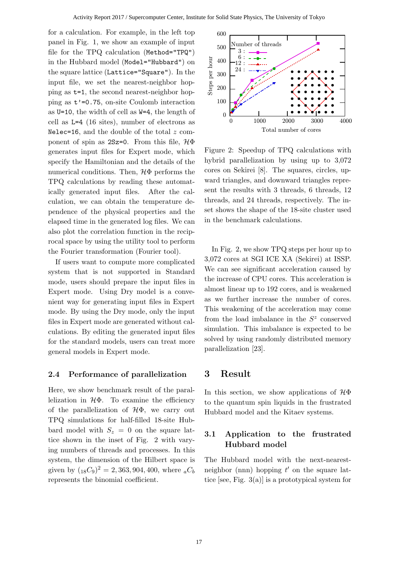for a calculation. For example, in the left top panel in Fig. 1, we show an example of input file for the TPQ calculation (Method="TPQ") in the Hubbard model (Model="Hubbard") on the square lattice (Lattice="Square"). In the input file, we set the nearest-neighbor hopping as t=1, the second nearest-neighbor hopping as  $t' = 0.75$ , on-site Coulomb interaction as U=10, the width of cell as W=4, the length of cell as L=4 (16 sites), number of electrons as Nelec=16, and the double of the total *z* component of spin as 2Sz=0. From this file, *H*Φ generates input files for Expert mode, which specify the Hamiltonian and the details of the numerical conditions. Then, *H*Φ performs the TPQ calculations by reading these automatically generated input files. After the calculation, we can obtain the temperature dependence of the physical properties and the elapsed time in the generated log files. We can also plot the correlation function in the reciprocal space by using the utility tool to perform the Fourier transformation (Fourier tool).

If users want to compute more complicated system that is not supported in Standard mode, users should prepare the input files in Expert mode. Using Dry model is a convenient way for generating input files in Expert mode. By using the Dry mode, only the input files in Expert mode are generated without calculations. By editing the generated input files for the standard models, users can treat more general models in Expert mode.

#### **2.4 Performance of parallelization**

Here, we show benchmark result of the parallelization in *H*Φ. To examine the efficiency of the parallelization of *H*Φ, we carry out TPQ simulations for half-filled 18-site Hubbard model with  $S_z = 0$  on the square lattice shown in the inset of Fig. 2 with varying numbers of threads and processes. In this system, the dimension of the Hilbert space is given by  $({}_{18}C_9)^2 = 2,363,904,400$ , where  ${}_aC_b$ represents the binomial coefficient.



Figure 2: Speedup of TPQ calculations with hybrid parallelization by using up to 3,072 cores on Sekirei [8]. The squares, circles, upward triangles, and downward triangles represent the results with 3 threads, 6 threads, 12 threads, and 24 threads, respectively. The inset shows the shape of the 18-site cluster used in the benchmark calculations.

In Fig. 2, we show TPQ steps per hour up to 3,072 cores at SGI ICE XA (Sekirei) at ISSP. We can see significant acceleration caused by the increase of CPU cores. This acceleration is almost linear up to 192 cores, and is weakened as we further increase the number of cores. This weakening of the acceleration may come from the load imbalance in the  $S^z$  conserved simulation. This imbalance is expected to be solved by using randomly distributed memory parallelization [23].

# **3 Result**

In this section, we show applications of *H*Φ to the quantum spin liquids in the frustrated Hubbard model and the Kitaev systems.

### **3.1 Application to the frustrated Hubbard model**

The Hubbard model with the next-nearestneighbor (nnn) hopping *t ′* on the square lattice [see, Fig. 3(a)] is a prototypical system for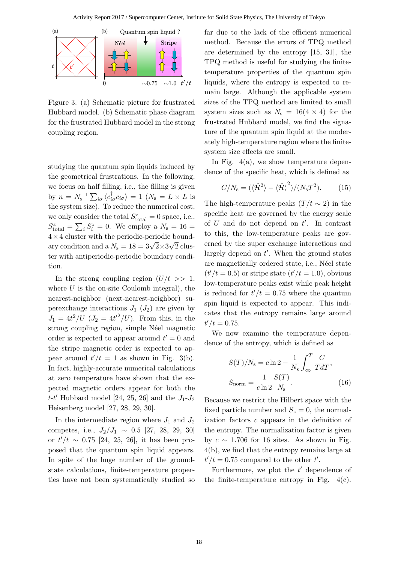

Figure 3: (a) Schematic picture for frustrated Hubbard model. (b) Schematic phase diagram for the frustrated Hubbard model in the strong coupling region.

studying the quantum spin liquids induced by the geometrical frustrations. In the following, we focus on half filling, i.e., the filling is given by  $n = N_s^{-1} \sum_{i\sigma} \langle c_{i\sigma}^\dagger c_{i\sigma} \rangle = 1 \ (N_s = L \times L \text{ is})$ the system size). To reduce the numerical cost, we only consider the total  $S_{total}^z = 0$  space, i.e.,  $S_{\text{total}}^z = \sum_i S_i^z = 0$ . We employ a  $N_s = 16$ 4*×*4 cluster with the periodic-periodic bound-*√* ary condition and a  $N_s = 18 = 3\sqrt{2} \times 3\sqrt{2}$  cluster with antiperiodic-periodic boundary condition.

In the strong coupling region  $(U/t \gg 1,$ where *U* is the on-site Coulomb integral), the nearest-neighbor (next-nearest-neighbor) superexchange interactions  $J_1$  ( $J_2$ ) are given by  $J_1 = 4t^2/U \, (J_2 = 4t'^2/U)$ . From this, in the strong coupling region, simple Néel magnetic order is expected to appear around  $t' = 0$  and the stripe magnetic order is expected to appear around  $t'/t = 1$  as shown in Fig. 3(b). In fact, highly-accurate numerical calculations at zero temperature have shown that the expected magnetic orders appear for both the *t*-*t ′* Hubbard model [24, 25, 26] and the *J*1-*J*<sup>2</sup> Heisenberg model [27, 28, 29, 30].

In the intermediate region where  $J_1$  and  $J_2$ competes, i.e., *J*2*/J*<sup>1</sup> *∼* 0*.*5 [27, 28, 29, 30] or  $t'/t \sim 0.75$  [24, 25, 26], it has been proposed that the quantum spin liquid appears. In spite of the huge number of the groundstate calculations, finite-temperature properties have not been systematically studied so far due to the lack of the efficient numerical method. Because the errors of TPQ method are determined by the entropy [15, 31], the TPQ method is useful for studying the finitetemperature properties of the quantum spin liquids, where the entropy is expected to remain large. Although the applicable system sizes of the TPQ method are limited to small system sizes such as  $N_s = 16(4 \times 4)$  for the frustrated Hubbard model, we find the signature of the quantum spin liquid at the moderately high-temperature region where the finitesystem size effects are small.

In Fig.  $4(a)$ , we show temperature dependence of the specific heat, which is defined as

$$
C/N_{\rm s} = (\langle \hat{\mathcal{H}}^2 \rangle - \langle \hat{\mathcal{H}} \rangle^2) / (N_{\rm s} T^2). \tag{15}
$$

The high-temperature peaks  $(T/t \sim 2)$  in the specific heat are governed by the energy scale of *U* and do not depend on *t ′* . In contrast to this, the low-temperature peaks are governed by the super exchange interactions and largely depend on *t ′* . When the ground states are magnetically ordered state, i.e., Néel state  $(t'/t = 0.5)$  or stripe state  $(t'/t = 1.0)$ , obvious low-temperature peaks exist while peak height is reduced for  $t'/t = 0.75$  where the quantum spin liquid is expected to appear. This indicates that the entropy remains large around  $t'/t = 0.75$ .

We now examine the temperature dependence of the entropy, which is defined as

$$
S(T)/N_{\rm s} = c \ln 2 - \frac{1}{N_{\rm s}} \int_{\infty}^{T} \frac{C}{T dT},
$$

$$
S_{\rm norm} = \frac{1}{c \ln 2} \frac{S(T)}{N_{\rm s}}.
$$
(16)

Because we restrict the Hilbert space with the fixed particle number and  $S_z = 0$ , the normalization factors *c* appears in the definition of the entropy. The normalization factor is given by  $c \sim 1.706$  for 16 sites. As shown in Fig. 4(b), we find that the entropy remains large at  $t'/t = 0.75$  compared to the other  $t'$ .

Furthermore, we plot the *t'* dependence of the finite-temperature entropy in Fig.  $4(c)$ .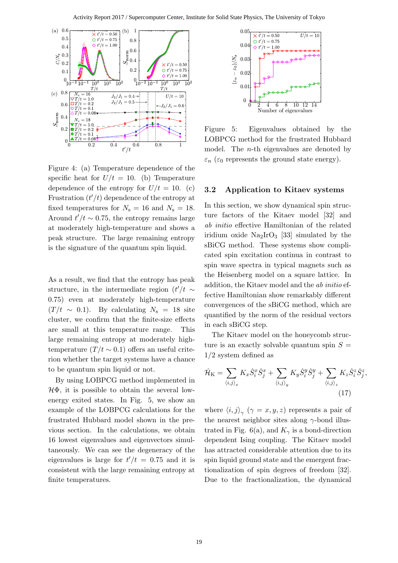

Figure 4: (a) Temperature dependence of the specific heat for  $U/t = 10$ . (b) Temperature dependence of the entropy for  $U/t = 10$ . (c) Frustration  $(t'/t)$  dependence of the entropy at fixed temperatures for  $N_s = 16$  and  $N_s = 18$ . Around  $t'/t \sim 0.75$ , the entropy remains large at moderately high-temperature and shows a peak structure. The large remaining entropy is the signature of the quantum spin liquid.

As a result, we find that the entropy has peak structure, in the intermediate region  $(t'/t \sim$ 0*.*75) even at moderately high-temperature  $(T/t \sim 0.1)$ . By calculating  $N_s = 18$  site cluster, we confirm that the finite-size effects are small at this temperature range. This large remaining entropy at moderately hightemperature  $(T/t \sim 0.1)$  offers an useful criterion whether the target systems have a chance to be quantum spin liquid or not.

By using LOBPCG method implemented in *H*Φ, it is possible to obtain the several lowenergy exited states. In Fig. 5, we show an example of the LOBPCG calculations for the frustrated Hubbard model shown in the previous section. In the calculations, we obtain 16 lowest eigenvalues and eigenvectors simultaneously. We can see the degeneracy of the eigenvalues is large for  $t'/t = 0.75$  and it is consistent with the large remaining entropy at finite temperatures.



Figure 5: Eigenvalues obtained by the LOBPCG method for the frustrated Hubbard model. The *n*-th eigenvalues are denoted by  $\varepsilon_n$  ( $\varepsilon_0$  represents the ground state energy).

#### **3.2 Application to Kitaev systems**

In this section, we show dynamical spin structure factors of the Kitaev model [32] and *ab initio* effective Hamiltonian of the related iridium oxide  $\text{Na}_2\text{IrO}_3$  [33] simulated by the sBiCG method. These systems show complicated spin excitation continua in contrast to spin wave spectra in typical magnets such as the Heisenberg model on a square lattice. In addition, the Kitaev model and the *ab initio* effective Hamiltonian show remarkably different convergences of the sBiCG method, which are quantified by the norm of the residual vectors in each sBiCG step.

The Kitaev model on the honeycomb structure is an exactly solvable quantum spin  $S =$ 1*/*2 system defined as

$$
\hat{\mathcal{H}}_{\mathcal{K}} = \sum_{\langle i,j \rangle_x} K_x \hat{S}_i^x \hat{S}_j^x + \sum_{\langle i,j \rangle_y} K_y \hat{S}_i^y \hat{S}_j^y + \sum_{\langle i,j \rangle_z} K_z \hat{S}_i^z \hat{S}_j^z,\tag{17}
$$

where  $\langle i, j \rangle_{\gamma}$  ( $\gamma = x, y, z$ ) represents a pair of the nearest neighbor sites along *γ*-bond illustrated in Fig. 6(a), and  $K_{\gamma}$  is a bond-direction dependent Ising coupling. The Kitaev model has attracted considerable attention due to its spin liquid ground state and the emergent fractionalization of spin degrees of freedom [32]. Due to the fractionalization, the dynamical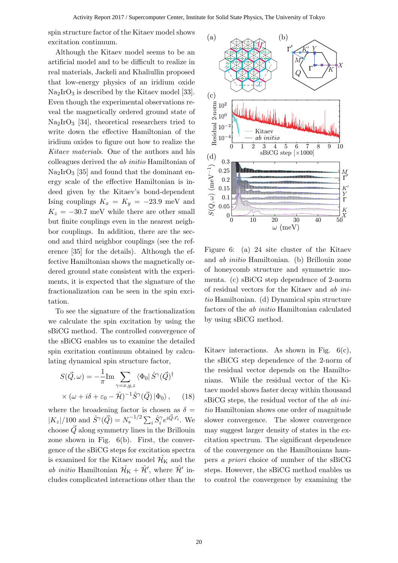spin structure factor of the Kitaev model shows excitation continuum.

Although the Kitaev model seems to be an artificial model and to be difficult to realize in real materials, Jackeli and Khaliullin proposed that low-energy physics of an iridium oxide Na2IrO<sup>3</sup> is described by the Kitaev model [33]. Even though the experimental observations reveal the magnetically ordered ground state of  $Na<sub>2</sub>IrO<sub>3</sub>$  [34], theoretical researchers tried to write down the effective Hamiltonian of the iridium oxides to figure out how to realize the *Kitaev materials*. One of the authors and his colleagues derived the *ab initio* Hamiltonian of  $\text{Na}_2\text{IrO}_3$  [35] and found that the dominant energy scale of the effective Hamiltonian is indeed given by the Kitaev's bond-dependent Ising couplings  $K_x = K_y = -23.9$  meV and  $K_z = -30.7$  meV while there are other small but finite couplings even in the nearest neighbor couplings. In addition, there are the second and third neighbor couplings (see the reference [35] for the details). Although the effective Hamiltonian shows the magnetically ordered ground state consistent with the experiments, it is expected that the signature of the fractionalization can be seen in the spin excitation.

To see the signature of the fractionalization we calculate the spin excitation by using the sBiCG method. The controlled convergence of the sBiCG enables us to examine the detailed spin excitation continuum obtained by calculating dynamical spin structure factor,

$$
S(\vec{Q}, \omega) = -\frac{1}{\pi} \text{Im} \sum_{\gamma = x, y, z} \langle \Phi_0 | \hat{S}^{\gamma} (\vec{Q})^{\dagger} \times (\omega + i\delta + \varepsilon_0 - \hat{\mathcal{H}})^{-1} \hat{S}^{\gamma} (\vec{Q}) | \Phi_0 \rangle, \quad (18)
$$

where the broadening factor is chosen as  $\delta =$  $|K_z|/100$  and  $\hat{S}^{\gamma}(\vec{Q}) = N_s^{-1/2} \sum_i \hat{S}_i^{\gamma} e^{i\vec{Q} \cdot \vec{r}_i}$ . We choose  $\vec{Q}$  along symmetry lines in the Brillouin zone shown in Fig. 6(b). First, the convergence of the sBiCG steps for excitation spectra is examined for the Kitaev model  $\mathcal{H}_K$  and the *ab initio* Hamiltonian  $\hat{\mathcal{H}}_K + \hat{\mathcal{H}}'$ , where  $\hat{\mathcal{H}}'$  includes complicated interactions other than the



Figure 6: (a) 24 site cluster of the Kitaev and *ab initio* Hamiltonian. (b) Brillouin zone of honeycomb structure and symmetric momenta. (c) sBiCG step dependence of 2-norm of residual vectors for the Kitaev and *ab initio* Hamiltonian. (d) Dynamical spin structure factors of the *ab initio* Hamiltonian calculated by using sBiCG method.

Kitaev interactions. As shown in Fig.  $6(c)$ , the sBiCG step dependence of the 2-norm of the residual vector depends on the Hamiltonians. While the residual vector of the Kitaev model shows faster decay within thousand sBiCG steps, the residual vector of the *ab initio* Hamiltonian shows one order of magnitude slower convergence. The slower convergence may suggest larger density of states in the excitation spectrum. The significant dependence of the convergence on the Hamiltonians hampers *a priori* choice of number of the sBiCG steps. However, the sBiCG method enables us to control the convergence by examining the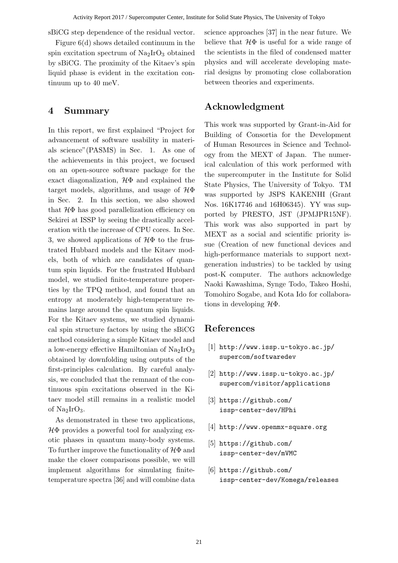sBiCG step dependence of the residual vector.

Figure 6(d) shows detailed continuum in the spin excitation spectrum of  $\text{Na}_2\text{IrO}_3$  obtained by sBiCG. The proximity of the Kitaev's spin liquid phase is evident in the excitation continuum up to 40 meV.

### **4 Summary**

In this report, we first explained "Project for advancement of software usability in materials science"(PASMS) in Sec. 1. As one of the achievements in this project, we focused on an open-source software package for the exact diagonalization, *H*Φ and explained the target models, algorithms, and usage of *H*Φ in Sec. 2. In this section, we also showed that *H*Φ has good parallelization efficiency on Sekirei at ISSP by seeing the drastically acceleration with the increase of CPU cores. In Sec. 3, we showed applications of *H*Φ to the frustrated Hubbard models and the Kitaev models, both of which are candidates of quantum spin liquids. For the frustrated Hubbard model, we studied finite-temperature properties by the TPQ method, and found that an entropy at moderately high-temperature remains large around the quantum spin liquids. For the Kitaev systems, we studied dynamical spin structure factors by using the sBiCG method considering a simple Kitaev model and a low-energy effective Hamiltonian of  $\text{Na}_2\text{IrO}_3$ obtained by downfolding using outputs of the first-principles calculation. By careful analysis, we concluded that the remnant of the continuous spin excitations observed in the Kitaev model still remains in a realistic model of  $Na<sub>2</sub>IrO<sub>3</sub>$ .

As demonstrated in these two applications, *H*Φ provides a powerful tool for analyzing exotic phases in quantum many-body systems. To further improve the functionality of *H*Φ and make the closer comparisons possible, we will implement algorithms for simulating finitetemperature spectra [36] and will combine data

science approaches [37] in the near future. We believe that  $H\Phi$  is useful for a wide range of the scientists in the filed of condensed matter physics and will accelerate developing material designs by promoting close collaboration between theories and experiments.

# **Acknowledgment**

This work was supported by Grant-in-Aid for Building of Consortia for the Development of Human Resources in Science and Technology from the MEXT of Japan. The numerical calculation of this work performed with the supercomputer in the Institute for Solid State Physics, The University of Tokyo. TM was supported by JSPS KAKENHI (Grant Nos. 16K17746 and 16H06345). YY was supported by PRESTO, JST (JPMJPR15NF). This work was also supported in part by MEXT as a social and scientific priority issue (Creation of new functional devices and high-performance materials to support nextgeneration industries) to be tackled by using post-K computer. The authors acknowledge Naoki Kawashima, Synge Todo, Takeo Hoshi, Tomohiro Sogabe, and Kota Ido for collaborations in developing *H*Φ.

### **References**

- [1] http://www.issp.u-tokyo.ac.jp/ supercom/softwaredev
- [2] http://www.issp.u-tokyo.ac.jp/ supercom/visitor/applications
- [3] https://github.com/ issp-center-dev/HPhi
- [4] http://www.openmx-square.org
- [5] https://github.com/ issp-center-dev/mVMC
- [6] https://github.com/ issp-center-dev/Komega/releases